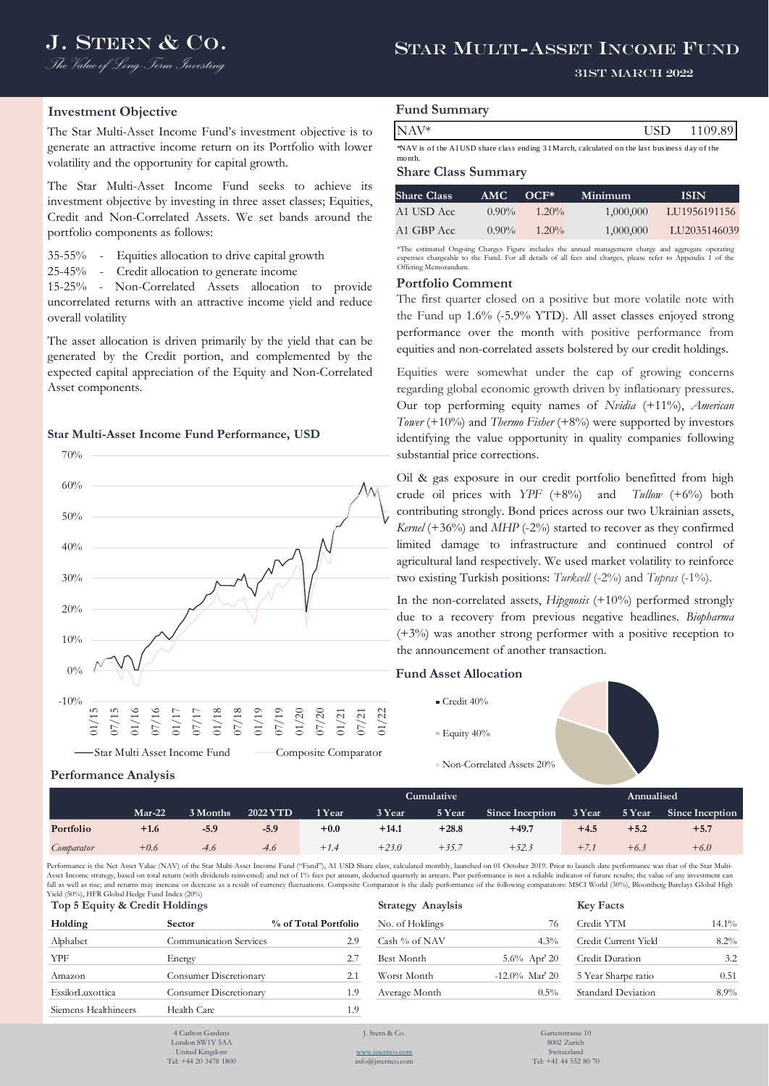# J. STERN & CO. STAR MULTI-ASSET INCOME FUND

#### 31st March 2022

### **Investment Objective**

The Star Multi-Asset Income Fund's investment objective is to generate an attractive income return on its Portfolio with lower volatility and the opportunity for capital growth.

The Star Multi-Asset Income Fund seeks to achieve its investment objective by investing in three asset classes; Equities, Credit and Non-Correlated Assets. We set bands around the portfolio components as follows:

35-55% - Equities allocation to drive capital growth

25-45% - Credit allocation to generate income

15-25% - Non-Correlated Assets allocation to provide uncorrelated returns with an attractive income yield and reduce overall volatility

The asset allocation is driven primarily by the yield that can be generated by the Credit portion, and complemented by the expected capital appreciation of the Equity and Non-Correlated Asset components.

#### **Star Multi-Asset Income Fund Performance, USD**



# **Fund Summary**

| NAV*                                                                                        | <b>TISD</b> | - 1109.89 |
|---------------------------------------------------------------------------------------------|-------------|-----------|
| NAV is of the A1USD share class ending 31 March, calculated on the last business day of the |             |           |

month.

#### **Share Class Summary**

| <b>Share Class</b> | AMC.     | $OCF^*$  | Minimum   | <b>ISIN</b>  |
|--------------------|----------|----------|-----------|--------------|
| A1 USD Acc.        | $0.90\%$ | $1.20\%$ | 1,000,000 | LU1956191156 |
| A1 GBP Acc         | $0.90\%$ | $1.20\%$ | 1,000,000 | LU2035146039 |

\*The estimated Ongoing Charges Figure includes the annual management charge and aggregate operating expenses chargeable to the Fund. For all details of all fees and charges, please refer to Appendix 1 of the Offering Memorandum.

#### **Portfolio Comment**

The first quarter closed on a positive but more volatile note with the Fund up 1.6% (-5.9% YTD). All asset classes enjoyed strong performance over the month with positive performance from equities and non-correlated assets bolstered by our credit holdings.

Equities were somewhat under the cap of growing concerns regarding global economic growth driven by inflationary pressures. Our top performing equity names of *Nvidia* (+11%), *American Tower* (+10%) and *Thermo Fisher* (+8%) were supported by investors identifying the value opportunity in quality companies following substantial price corrections.

**KAU'<sup>E</sup><br>
KAV\*** is the AUSD share share sating 31March, calculated on the last basines also general<br>
whave is the AUSD chare. Class Summarry<br>
Share Class Summarry<br>
Share Class Summarry<br>
Share Class Summarry<br>
An USD Acc 09 Oil & gas exposure in our credit portfolio benefitted from high crude oil prices with *YPF* (+8%) and *Tullow* (+6%) both contributing strongly. Bond prices across our two Ukrainian assets, *Kernel* (+36%) and *MHP* (-2%) started to recover as they confirmed limited damage to infrastructure and continued control of agricultural land respectively. We used market volatility to reinforce two existing Turkish positions: *Turkcell* (-2%) and *Tupras* (-1%).

In the non-correlated assets, *Hipgnosis* (+10%) performed strongly due to a recovery from previous negative headlines. *Biopharma* (+3%) was another strong performer with a positive reception to the announcement of another transaction.

## **Fund Asset Allocation**

- Credit 40%
- $\blacksquare$  Equity  $40\%$
- 
- Non-Correlated Assets 20%

#### **Performance Analysis**

|            |        |          |          |        | Cumulative ' |         |                        |              |        | Annualised      |  |  |
|------------|--------|----------|----------|--------|--------------|---------|------------------------|--------------|--------|-----------------|--|--|
|            | Mar-22 | 3 Months | 2022 YTD | 1 Year | 3 Year       | 5 Year  | <b>Since Inception</b> | 3 Year       | 5 Year | Since Inception |  |  |
| Portfolio  | $+1.6$ | $-5.9$   | $-5.9$   | $+0.0$ | $+14.1$      | $+28.8$ | $+49.7$                | $+4.5$       | $+5.2$ | $+5.7$          |  |  |
| Comparator | $+0.6$ | -4.6     | -4.6     | $+1.4$ | $+23.0$      | $+35.7$ | $+52.3$                | $+$ $\prime$ | $+6.3$ | $+6.0$          |  |  |

Performance is the Net Asset Value (NAV) of the Star Multi-Asset Income Fund ("Fund"), A1 USD Share class, calculated monthly, launched on 01 October 2019. Prior to launch date performance was that of the Star Multi-Asset Income strategy, based on total return (with dividends reinvested) and net of 1% fees per annum, deducted quarterly in arrears. Past performance is not a reliable indicator of future results; the value of any investm Yield (50%), HFR Global Hedge Fund Index (20%)

| Top 5 Equity & Credit Holdings |                               |                      | <b>Strategy Anaylsis</b> |                   | <b>Key Facts</b>     |          |
|--------------------------------|-------------------------------|----------------------|--------------------------|-------------------|----------------------|----------|
| Holding                        | Sector                        | % of Total Portfolio | No. of Holdings          | 76                | Credit YTM           | $14.1\%$ |
| Alphabet                       | Communication Services        | 2.9                  | Cash % of NAV            | 4.3%              | Credit Current Yield | $8.2\%$  |
| <b>YPF</b>                     | Energy                        | 2.7                  | Best Month               | $5.6\%$ Apr' 20   | Credit Duration      | 3.2      |
| Amazon                         | <b>Consumer Discretionary</b> | 2.1                  | Worst Month              | $-12.0\%$ Mar' 20 | 5 Year Sharpe ratio  | 0.51     |
| EssilorLuxottica               | <b>Consumer Discretionary</b> | 1.9                  | Average Month            | $0.5\%$           | Standard Deviation   | $8.9\%$  |
| Siemens Healthineers           | Health Care                   | 1.9                  |                          |                   |                      |          |
|                                | 4 Carlton Gardens             |                      | J. Stern & Co.           | Gartenstrasse 10  |                      |          |

- 4 Carlton Gardens London SW1Y 5AA United Kingdom Tel: +44 20 3478 1800
- 

8002 Zurich Switzerland Tel: +41 44 552 80 70